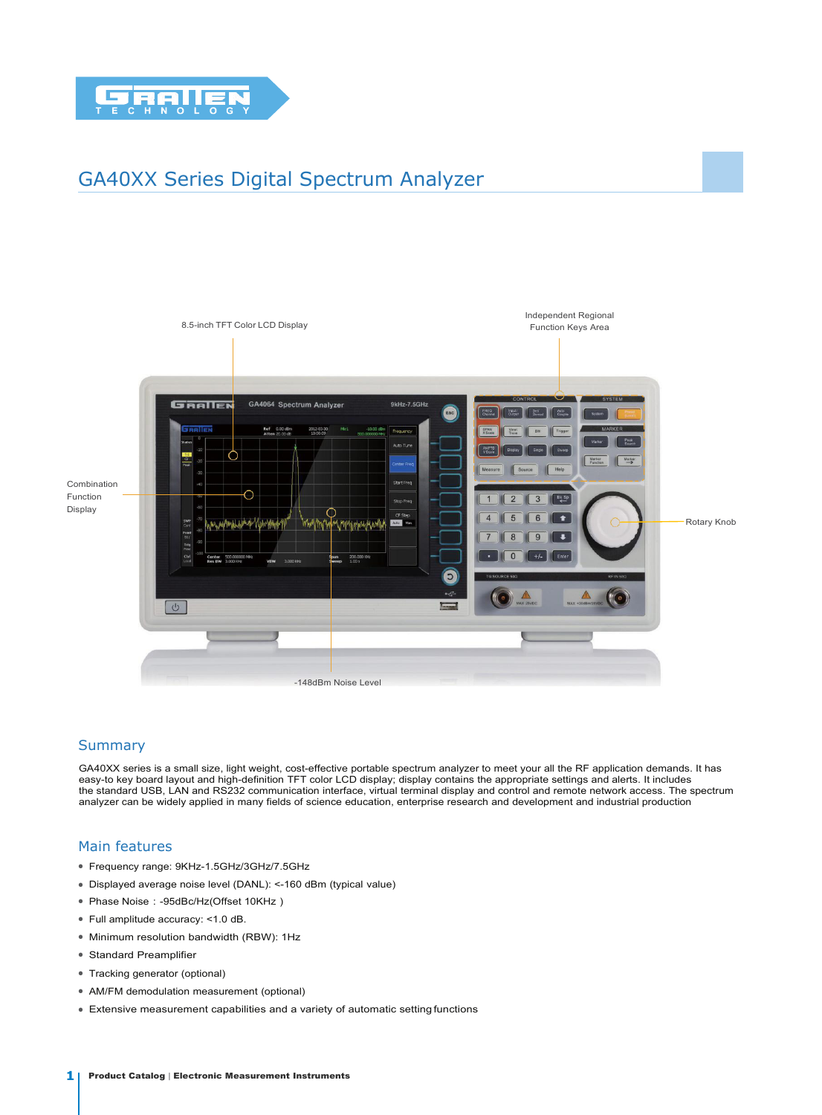

# GA40XX Series Digital Spectrum Analyzer



## **Summary**

GA40XX series is a small size, light weight, cost-effective portable spectrum analyzer to meet your all the RF application demands. It has easy-to key board layout and high-definition TFT color LCD display; display contains the appropriate settings and alerts. It includes the standard USB, LAN and RS232 communication interface, virtual terminal display and control and remote network access. The spectrum analyzer can be widely applied in many fields of science education, enterprise research and development and industrial production

## Main features

- Frequency range: 9KHz-1.5GHz/3GHz/7.5GHz
- Displayed average noise level (DANL): <-160 dBm (typical value)
- Phase Noise:-95dBc/Hz(Offset 10KHz)
- Full amplitude accuracy: <1.0 dB.
- Minimum resolution bandwidth (RBW): 1Hz
- Standard Preamplifier
- Tracking generator (optional)
- AM/FM demodulation measurement (optional)
- Extensive measurement capabilities and a variety of automatic setting functions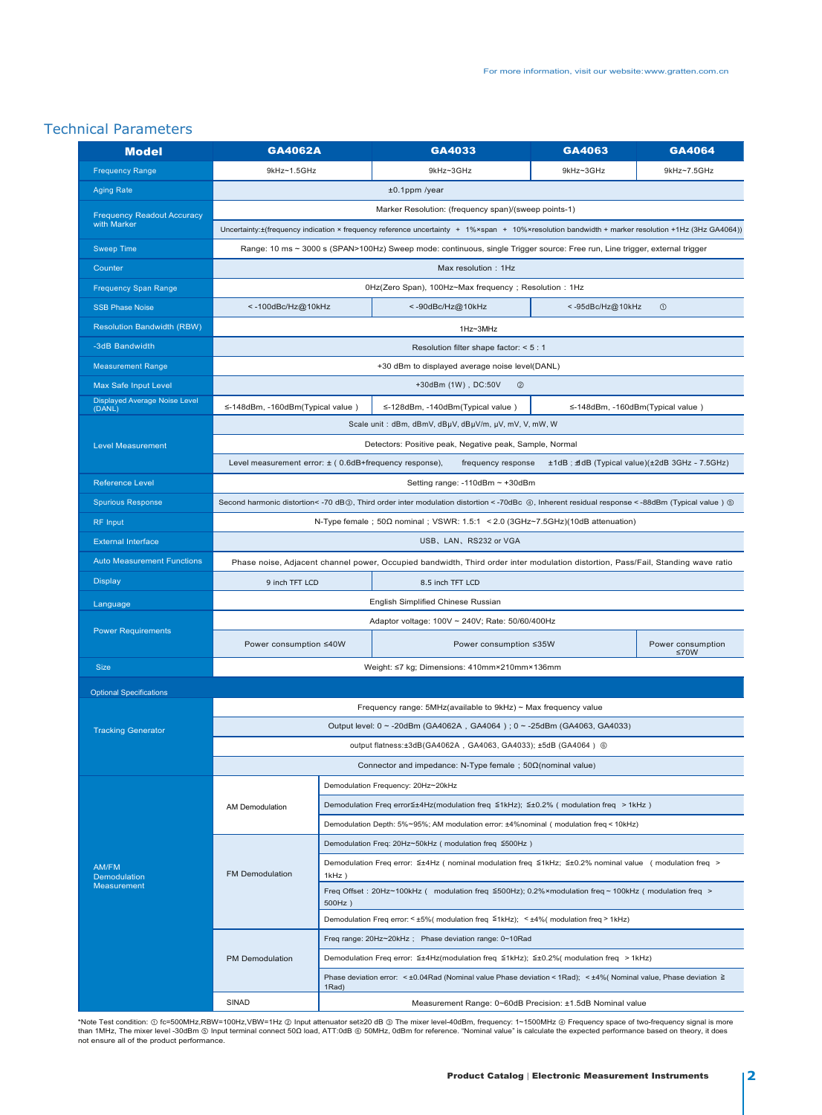# Technical Parameters

| <b>Model</b>                                     | <b>GA4062A</b>                                                                                                                                   |                                                                                                                                 | GA4033                 | GA4063    | GA4064                    |  |
|--------------------------------------------------|--------------------------------------------------------------------------------------------------------------------------------------------------|---------------------------------------------------------------------------------------------------------------------------------|------------------------|-----------|---------------------------|--|
| <b>Frequency Range</b>                           | 9kHz~1.5GHz                                                                                                                                      |                                                                                                                                 | 9kHz~3GHz              | 9kHz~3GHz | 9kHz~7.5GHz               |  |
| <b>Aging Rate</b>                                | $±0.1$ ppm /year                                                                                                                                 |                                                                                                                                 |                        |           |                           |  |
| <b>Frequency Readout Accuracy</b><br>with Marker | Marker Resolution: (frequency span)/(sweep points-1)                                                                                             |                                                                                                                                 |                        |           |                           |  |
|                                                  | Uncertainty:±(frequency indication × frequency reference uncertainty + 1%×span + 10%×resolution bandwidth + marker resolution +1Hz (3Hz GA4064)) |                                                                                                                                 |                        |           |                           |  |
| <b>Sweep Time</b>                                | Range: 10 ms ~ 3000 s (SPAN>100Hz) Sweep mode: continuous, single Trigger source: Free run, Line trigger, external trigger                       |                                                                                                                                 |                        |           |                           |  |
| Counter                                          | Max resolution: 1Hz                                                                                                                              |                                                                                                                                 |                        |           |                           |  |
| <b>Frequency Span Range</b>                      | 0Hz(Zero Span), 100Hz~Max frequency; Resolution: 1Hz                                                                                             |                                                                                                                                 |                        |           |                           |  |
| <b>SSB Phase Noise</b>                           | <- 100dBc/Hz@10kHz                                                                                                                               | <- 90dBc/Hz@10kHz<br><- 95dBc/Hz@10kHz<br>$^{\circ}$                                                                            |                        |           |                           |  |
| <b>Resolution Bandwidth (RBW)</b>                |                                                                                                                                                  | 1Hz~3MHz                                                                                                                        |                        |           |                           |  |
| -3dB Bandwidth                                   | Resolution filter shape factor: < 5 : 1                                                                                                          |                                                                                                                                 |                        |           |                           |  |
| <b>Measurement Range</b>                         | +30 dBm to displayed average noise level(DANL)                                                                                                   |                                                                                                                                 |                        |           |                           |  |
| Max Safe Input Level                             | +30dBm (1W), DC:50V<br>$^{\circledR}$                                                                                                            |                                                                                                                                 |                        |           |                           |  |
| <b>Displayed Average Noise Level</b><br>(DANL)   | ≤-148dBm, -160dBm(Typical value)<br>≤-128dBm, -140dBm(Typical value)<br>≤-148dBm, -160dBm(Typical value)                                         |                                                                                                                                 |                        |           |                           |  |
| <b>Level Measurement</b>                         | Scale unit: dBm, dBmV, dBµV, dBµV/m, µV, mV, V, mW, W                                                                                            |                                                                                                                                 |                        |           |                           |  |
|                                                  | Detectors: Positive peak, Negative peak, Sample, Normal                                                                                          |                                                                                                                                 |                        |           |                           |  |
|                                                  | Level measurement error: ± (0.6dB+frequency response),<br>frequency response<br>±1dB; #dB (Typical value)(±2dB 3GHz - 7.5GHz)                    |                                                                                                                                 |                        |           |                           |  |
| <b>Reference Level</b>                           | Setting range: -110dBm ~ +30dBm                                                                                                                  |                                                                                                                                 |                        |           |                           |  |
| <b>Spurious Response</b>                         | Second harmonic distortion< -70 dB 3, Third order inter modulation distortion < -70dBc 4, Inherent residual response < -88dBm (Typical value) 5  |                                                                                                                                 |                        |           |                           |  |
| <b>RF</b> Input                                  | N-Type female; $50\Omega$ nominal; VSWR: 1.5:1 < 2.0 (3GHz $\sim$ 7.5GHz)(10dB attenuation)                                                      |                                                                                                                                 |                        |           |                           |  |
| <b>External Interface</b>                        | USB, LAN, RS232 or VGA                                                                                                                           |                                                                                                                                 |                        |           |                           |  |
| <b>Auto Measurement Functions</b>                | Phase noise, Adjacent channel power, Occupied bandwidth, Third order inter modulation distortion, Pass/Fail, Standing wave ratio                 |                                                                                                                                 |                        |           |                           |  |
| <b>Display</b>                                   | 9 inch TFT LCD<br>8.5 inch TFT LCD                                                                                                               |                                                                                                                                 |                        |           |                           |  |
| Language                                         | English Simplified Chinese Russian                                                                                                               |                                                                                                                                 |                        |           |                           |  |
| <b>Power Requirements</b>                        | Adaptor voltage: 100V ~ 240V; Rate: 50/60/400Hz                                                                                                  |                                                                                                                                 |                        |           |                           |  |
|                                                  | Power consumption ≤40W                                                                                                                           |                                                                                                                                 | Power consumption ≤35W |           | Power consumption<br>≤70W |  |
| <b>Size</b>                                      | Weight: ≤7 kg; Dimensions: 410mm×210mm×136mm                                                                                                     |                                                                                                                                 |                        |           |                           |  |
| <b>Optional Specifications</b>                   |                                                                                                                                                  |                                                                                                                                 |                        |           |                           |  |
|                                                  | Frequency range: $5MHz$ (available to $9kHz$ ) ~ Max frequency value                                                                             |                                                                                                                                 |                        |           |                           |  |
| <b>Tracking Generator</b>                        | Output level: 0 ~ -20dBm (GA4062A, GA4064); 0 ~ -25dBm (GA4063, GA4033)                                                                          |                                                                                                                                 |                        |           |                           |  |
|                                                  | output flatness:±3dB(GA4062A, GA4063, GA4033); ±5dB (GA4064) ⑥                                                                                   |                                                                                                                                 |                        |           |                           |  |
|                                                  | Connector and impedance: N-Type female ; $50\Omega$ (nominal value)                                                                              |                                                                                                                                 |                        |           |                           |  |
| AM/FM<br>Demodulation<br>Measurement             |                                                                                                                                                  | Demodulation Frequency: 20Hz~20kHz                                                                                              |                        |           |                           |  |
|                                                  | AM Demodulation                                                                                                                                  | Demodulation Freq error≦±4Hz(modulation freq ≦1kHz); ≦±0.2% (modulation freq > 1kHz)                                            |                        |           |                           |  |
|                                                  |                                                                                                                                                  | Demodulation Depth: 5%~95%; AM modulation error: ±4%nominal (modulation freq < 10kHz)                                           |                        |           |                           |  |
|                                                  | <b>FM Demodulation</b>                                                                                                                           | Demodulation Freq: 20Hz~50kHz (modulation freq ≦500Hz)                                                                          |                        |           |                           |  |
|                                                  |                                                                                                                                                  | Demodulation Freq error: ≦±4Hz (nominal modulation freq ≦1kHz; ≦±0.2% nominal value (modulation freq ><br>$1kHz$ )              |                        |           |                           |  |
|                                                  |                                                                                                                                                  | Freq Offset : 20Hz~100kHz ( modulation freq ≦500Hz); 0.2%×modulation freq ~ 100kHz ( modulation freq ><br>500Hz)                |                        |           |                           |  |
|                                                  |                                                                                                                                                  | Demodulation Freq error: <±5%(modulation freq ≦1kHz); <±4%(modulation freq > 1kHz)                                              |                        |           |                           |  |
|                                                  | PM Demodulation                                                                                                                                  | Freq range: 20Hz~20kHz; Phase deviation range: 0~10Rad                                                                          |                        |           |                           |  |
|                                                  |                                                                                                                                                  | Demodulation Freq error: ≦±4Hz(modulation freq ≦1kHz); ≦±0.2%( modulation freq > 1kHz)                                          |                        |           |                           |  |
|                                                  |                                                                                                                                                  | Phase deviation error: < ±0.04Rad (Nominal value Phase deviation < 1Rad); < ±4% (Nominal value, Phase deviation $\geq$<br>1Rad) |                        |           |                           |  |
|                                                  | SINAD                                                                                                                                            | Measurement Range: 0~60dB Precision: ±1.5dB Nominal value                                                                       |                        |           |                           |  |

\*Note Test condition: ① fc=500MHz,RBW=100Hz,VBW=1Hz ② Input attenuator set≥20 dB ③ The mixer level-40dBm, frequency: 1~1500MHz ④ Frequency space of two-frequency signal is more<br>than 1MHz, The mixer level -30dBm ⑤ Input t not ensure all of the product performance.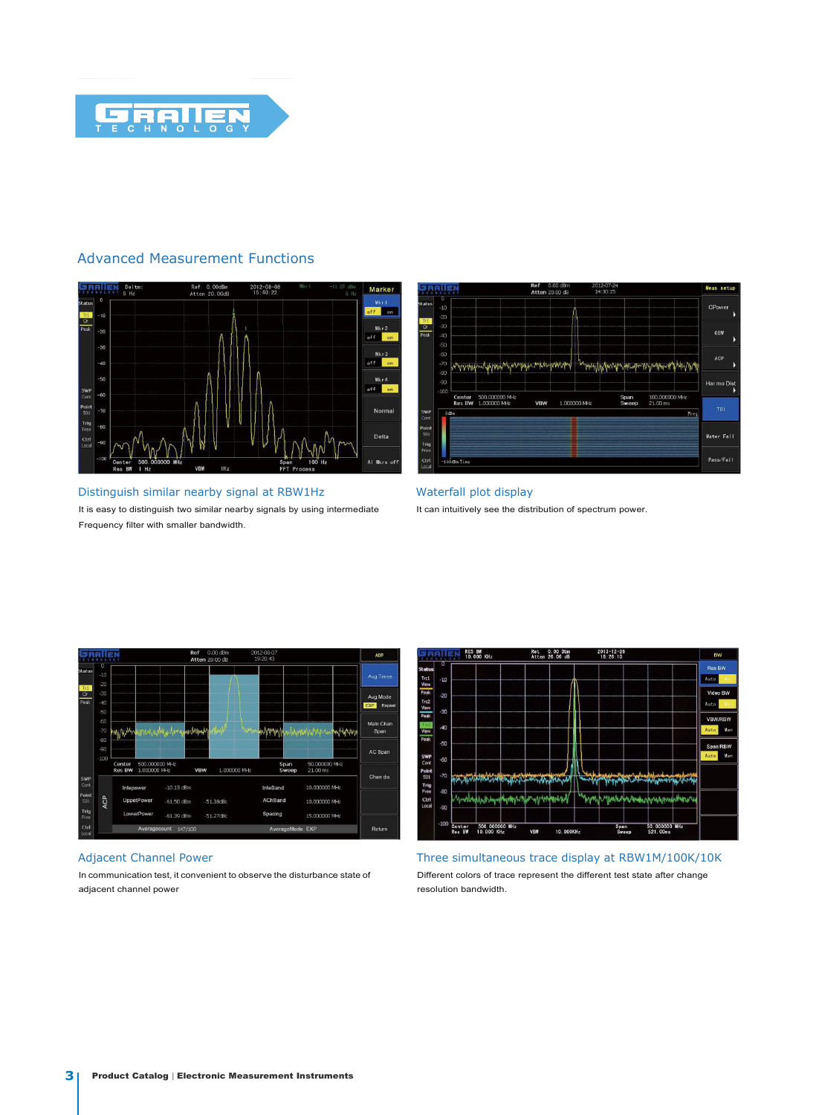

# Advanced Measurement Functions



Distinguish similar nearby signal at RBW1Hz It is easy to distinguish two similar nearby signals by using intermediate Frequency filter with smaller bandwidth.



Waterfall plot display It can intuitively see the distribution of spectrum power.



#### Adjacent Channel Power

In communication test, it convenient to observe the disturbance state of adjacent channel power



Three simultaneous trace display at RBW1M/100K/10K Different colors of trace represent the different test state after change resolution bandwidth.